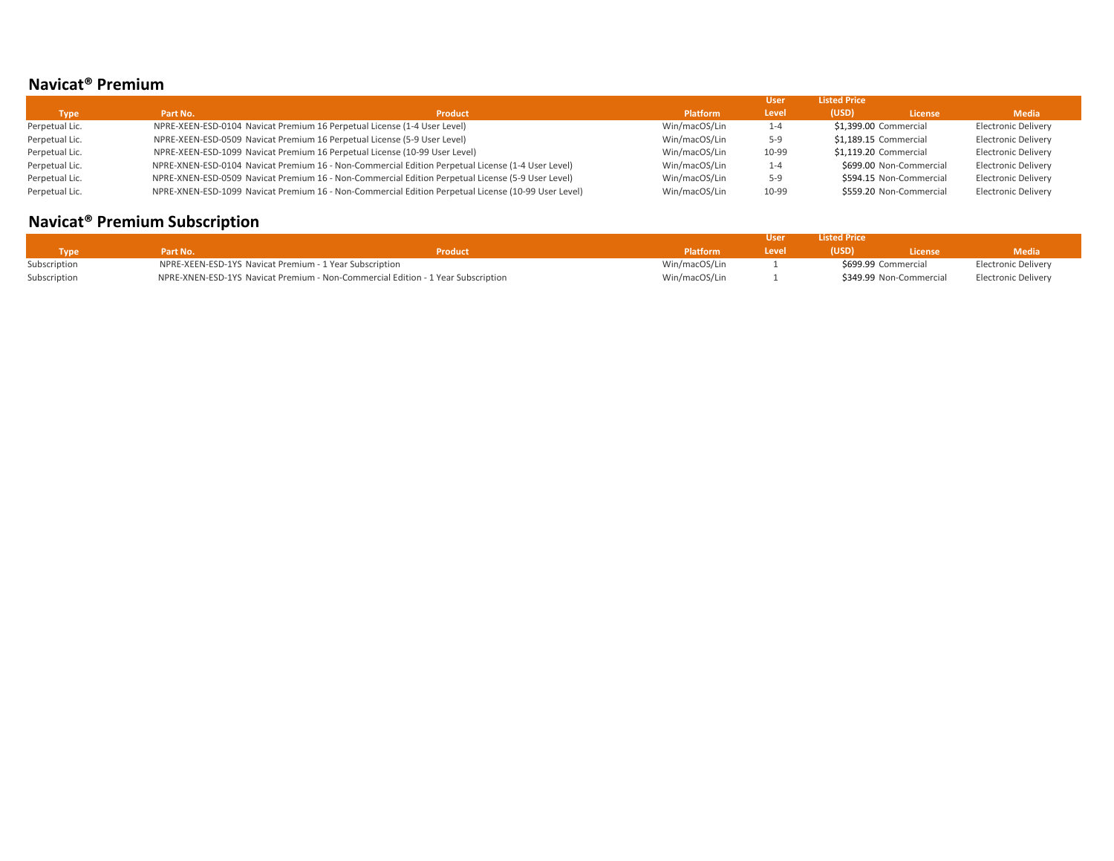## **Navicat® Premium**

|                |          |                                                                                                     |                 | User    | <b>Listed Price</b>   |                         |                            |
|----------------|----------|-----------------------------------------------------------------------------------------------------|-----------------|---------|-----------------------|-------------------------|----------------------------|
| <b>Type</b>    | Part No. | <b>Product</b>                                                                                      | <b>Platform</b> | Level   | (USD)                 | License                 | <b>Media</b>               |
| Perpetual Lic. |          | NPRE-XEEN-ESD-0104 Navicat Premium 16 Perpetual License (1-4 User Level)                            | Win/macOS/Lin   | $1 - 4$ | \$1,399.00 Commercial |                         | Electronic Delivery        |
| Perpetual Lic. |          | NPRE-XEEN-ESD-0509 Navicat Premium 16 Perpetual License (5-9 User Level)                            | Win/macOS/Lin   | $5-9$   | \$1,189.15 Commercial |                         | <b>Electronic Delivery</b> |
| Perpetual Lic. |          | NPRE-XEEN-ESD-1099 Navicat Premium 16 Perpetual License (10-99 User Level)                          | Win/macOS/Lin   | 10-99   | \$1,119.20 Commercial |                         | <b>Electronic Delivery</b> |
| Perpetual Lic. |          | NPRE-XNEN-ESD-0104 Navicat Premium 16 - Non-Commercial Edition Perpetual License (1-4 User Level)   | Win/macOS/Lin   | $1 - 4$ |                       | \$699.00 Non-Commercial | <b>Electronic Delivery</b> |
| Perpetual Lic. |          | NPRE-XNEN-ESD-0509 Navicat Premium 16 - Non-Commercial Edition Perpetual License (5-9 User Level)   | Win/macOS/Lin   | $5-9$   |                       | \$594.15 Non-Commercial | <b>Electronic Delivery</b> |
| Perpetual Lic. |          | NPRE-XNEN-ESD-1099 Navicat Premium 16 - Non-Commercial Edition Perpetual License (10-99 User Level) | Win/macOS/Lin   | 10-99   |                       | \$559.20 Non-Commercial | <b>Electronic Delivery</b> |

# **Navicat® Premium Subscription**

|              |                                                                                  |         |               |       | <b>Listed Price</b> |                         |                            |
|--------------|----------------------------------------------------------------------------------|---------|---------------|-------|---------------------|-------------------------|----------------------------|
| Type         | Part No.                                                                         | Product | Platform      | Level | (USD)               | <b>License</b>          | <b>Media</b>               |
| Subscription | NPRE-XEEN-ESD-1YS Navicat Premium - 1 Year Subscription                          |         | Win/macOS/Lin |       | \$699.99 Commercial |                         | <b>Electronic Delivery</b> |
| Subscription | NPRE-XNEN-ESD-1YS Navicat Premium - Non-Commercial Edition - 1 Year Subscription |         | Win/macOS/Lin |       |                     | \$349.99 Non-Commercial | Electronic Delivery        |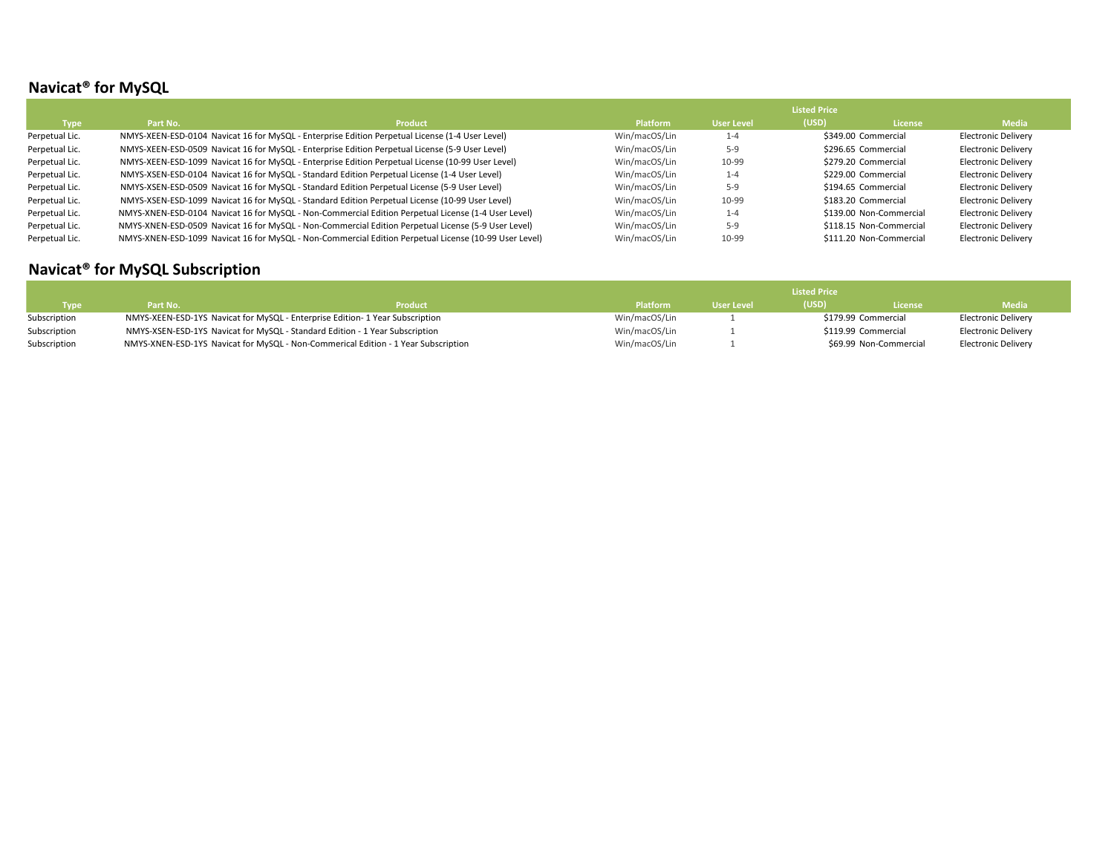## **Navicat® for MySQL**

|                |          |                                                                                                       |                 |            | <b>Listed Price</b> |                         |                            |
|----------------|----------|-------------------------------------------------------------------------------------------------------|-----------------|------------|---------------------|-------------------------|----------------------------|
| Type           | Part No. | <b>Product</b>                                                                                        | <b>Platform</b> | User Level | (USD)               | License                 | <b>Media</b>               |
| Perpetual Lic. |          | NMYS-XEEN-ESD-0104 Navicat 16 for MySQL - Enterprise Edition Perpetual License (1-4 User Level)       | Win/macOS/Lin   | $1 - 4$    |                     | \$349.00 Commercial     | <b>Electronic Delivery</b> |
| Perpetual Lic. |          | NMYS-XEEN-ESD-0509 Navicat 16 for MySQL - Enterprise Edition Perpetual License (5-9 User Level)       | Win/macOS/Lin   | $5-9$      |                     | \$296.65 Commercial     | <b>Electronic Delivery</b> |
| Perpetual Lic. |          | NMYS-XEEN-ESD-1099 Navicat 16 for MySQL - Enterprise Edition Perpetual License (10-99 User Level)     | Win/macOS/Lin   | 10-99      |                     | \$279.20 Commercial     | <b>Electronic Delivery</b> |
| Perpetual Lic. |          | NMYS-XSEN-ESD-0104 Navicat 16 for MySQL - Standard Edition Perpetual License (1-4 User Level)         | Win/macOS/Lin   | $1 - 4$    |                     | \$229.00 Commercial     | <b>Electronic Delivery</b> |
| Perpetual Lic. |          | NMYS-XSEN-ESD-0509 Navicat 16 for MySQL - Standard Edition Perpetual License (5-9 User Level)         | Win/macOS/Lin   | $5-9$      |                     | \$194.65 Commercial     | <b>Electronic Delivery</b> |
| Perpetual Lic. |          | NMYS-XSEN-ESD-1099 Navicat 16 for MySQL - Standard Edition Perpetual License (10-99 User Level)       | Win/macOS/Lin   | 10-99      |                     | \$183.20 Commercial     | <b>Electronic Delivery</b> |
| Perpetual Lic. |          | NMYS-XNEN-ESD-0104 Navicat 16 for MySQL - Non-Commercial Edition Perpetual License (1-4 User Level)   | Win/macOS/Lin   | $1 - 4$    |                     | \$139.00 Non-Commercial | <b>Electronic Delivery</b> |
| Perpetual Lic. |          | MMYS-XNEN-ESD-0509 Navicat 16 for MySQL - Non-Commercial Edition Perpetual License (5-9 User Level)   | Win/macOS/Lin   | $5-9$      |                     | \$118.15 Non-Commercial | <b>Electronic Delivery</b> |
| Perpetual Lic. |          | NMYS-XNEN-ESD-1099 Navicat 16 for MySQL - Non-Commercial Edition Perpetual License (10-99 User Level) | Win/macOS/Lin   | 10-99      |                     | \$111.20 Non-Commercial | Electronic Delivery        |

# **Navicat® for MySQL Subscription**

|              |          |                                                                                    |                 |            | <b>Listed Price</b> |                        |                     |
|--------------|----------|------------------------------------------------------------------------------------|-----------------|------------|---------------------|------------------------|---------------------|
| <b>Type</b>  | Part No. | Product                                                                            | <b>Platform</b> | User Level | (USD)               | <b>License</b>         | <b>Media</b>        |
| Subscription |          | NMYS-XEEN-ESD-1YS Navicat for MySQL - Enterprise Edition- 1 Year Subscription      | Win/macOS/Lin   |            |                     | \$179.99 Commercial    | Electronic Delivery |
| Subscription |          | NMYS-XSEN-ESD-1YS Navicat for MySQL - Standard Edition - 1 Year Subscription       | Win/macOS/Lin   |            |                     | \$119.99 Commercial    | Electronic Delivery |
| Subscription |          | NMYS-XNEN-ESD-1YS Navicat for MySQL - Non-Commerical Edition - 1 Year Subscription | Win/macOS/Lin   |            |                     | \$69.99 Non-Commercial | Electronic Delivery |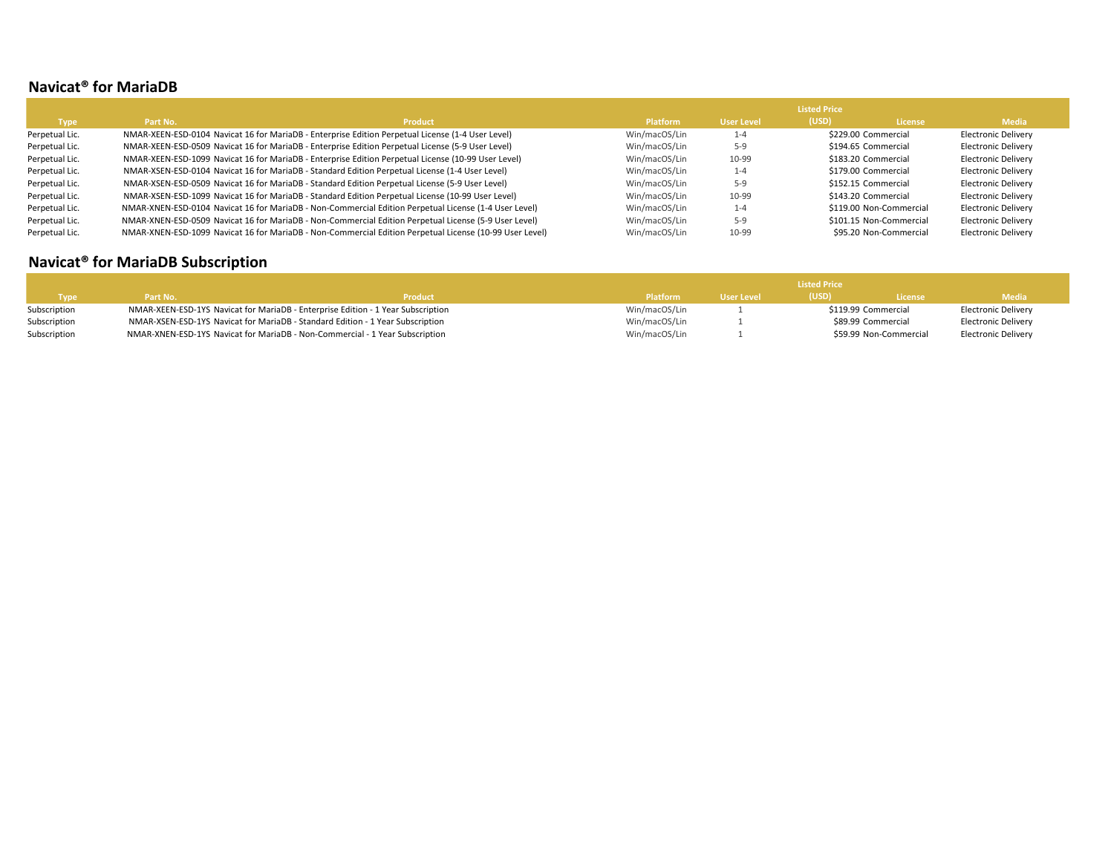#### **Navicat® for MariaDB**

|                |          |                                                                                                         | <b>Listed Price</b> |                   |       |                         |                            |  |
|----------------|----------|---------------------------------------------------------------------------------------------------------|---------------------|-------------------|-------|-------------------------|----------------------------|--|
| <b>Type</b>    | Part No. | <b>Product</b>                                                                                          | <b>Platform</b>     | <b>User Level</b> | (USD) | <b>License</b>          | <b>Media</b>               |  |
| Perpetual Lic. |          | NMAR-XEEN-ESD-0104 Navicat 16 for MariaDB - Enterprise Edition Perpetual License (1-4 User Level)       | Win/macOS/Lin       | $1 - 4$           |       | \$229.00 Commercial     | <b>Electronic Delivery</b> |  |
| Perpetual Lic. |          | NMAR-XEEN-ESD-0509 Navicat 16 for MariaDB - Enterprise Edition Perpetual License (5-9 User Level)       | Win/macOS/Lin       | $5-9$             |       | \$194.65 Commercial     | <b>Electronic Delivery</b> |  |
| Perpetual Lic. |          | NMAR-XEEN-ESD-1099 Navicat 16 for MariaDB - Enterprise Edition Perpetual License (10-99 User Level)     | Win/macOS/Lin       | 10-99             |       | \$183.20 Commercial     | <b>Electronic Delivery</b> |  |
| Perpetual Lic. |          | NMAR-XSEN-ESD-0104 Navicat 16 for MariaDB - Standard Edition Perpetual License (1-4 User Level)         | Win/macOS/Lin       | $1 - 4$           |       | \$179.00 Commercial     | <b>Electronic Delivery</b> |  |
| Perpetual Lic. |          | NMAR-XSEN-ESD-0509 Navicat 16 for MariaDB - Standard Edition Perpetual License (5-9 User Level)         | Win/macOS/Lin       | $5-9$             |       | \$152.15 Commercial     | <b>Electronic Delivery</b> |  |
| Perpetual Lic. |          | NMAR-XSEN-ESD-1099 Navicat 16 for MariaDB - Standard Edition Perpetual License (10-99 User Level)       | Win/macOS/Lin       | 10-99             |       | \$143.20 Commercial     | <b>Electronic Delivery</b> |  |
| Perpetual Lic. |          | NMAR-XNEN-ESD-0104 Navicat 16 for MariaDB - Non-Commercial Edition Perpetual License (1-4 User Level)   | Win/macOS/Lin       | $1 - 4$           |       | \$119.00 Non-Commercial | <b>Electronic Delivery</b> |  |
| Perpetual Lic. |          | MMAR-XNEN-ESD-0509 Navicat 16 for MariaDB - Non-Commercial Edition Perpetual License (5-9 User Level)   | Win/macOS/Lin       | $5-9$             |       | \$101.15 Non-Commercial | <b>Electronic Delivery</b> |  |
| Perpetual Lic. |          | NMAR-XNEN-ESD-1099 Navicat 16 for MariaDB - Non-Commercial Edition Perpetual License (10-99 User Level) | Win/macOS/Lin       | 10-99             |       | \$95.20 Non-Commercial  | <b>Electronic Delivery</b> |  |

# **Navicat® for MariaDB Subscription**

|              |          |                                                                                  |                 |            | <b>Listed Price</b> |                        |                     |
|--------------|----------|----------------------------------------------------------------------------------|-----------------|------------|---------------------|------------------------|---------------------|
| Type         | Part No. | <b>Product</b>                                                                   | <b>Platform</b> | User Level | (USD)               | <b>License</b>         | <b>Media</b>        |
| Subscription |          | NMAR-XEEN-ESD-1YS Navicat for MariaDB - Enterprise Edition - 1 Year Subscription | Win/macOS/Lin   |            |                     | \$119.99 Commercial    | Electronic Delivery |
| Subscription |          | NMAR-XSEN-ESD-1YS Navicat for MariaDB - Standard Edition - 1 Year Subscription   | Win/macOS/Lin   |            |                     | \$89.99 Commercial     | Electronic Delivery |
| Subscription |          | NMAR-XNEN-ESD-1YS Navicat for MariaDB - Non-Commercial - 1 Year Subscription     | Win/macOS/Lin   |            |                     | \$59.99 Non-Commercial | Electronic Delivery |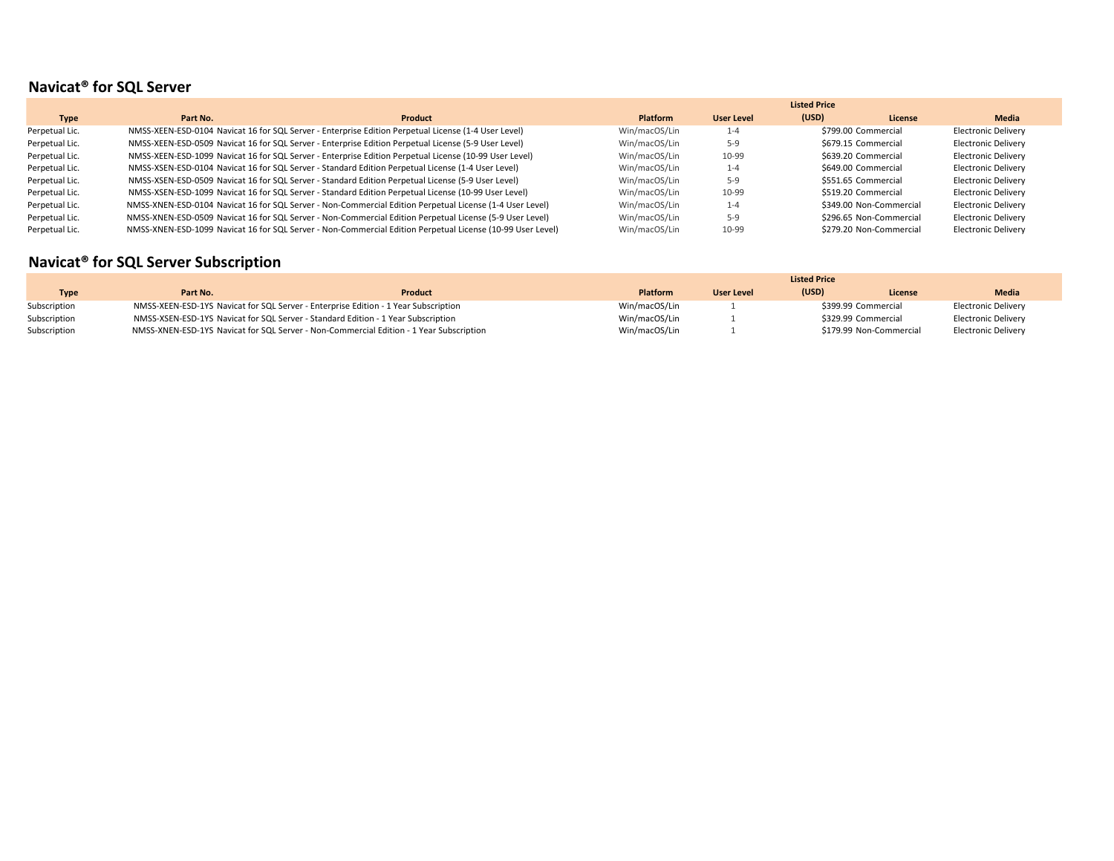## **Navicat® for SQL Server**

|                |          |                                                                                                            |                 |                   | <b>Listed Price</b> |                         |                            |
|----------------|----------|------------------------------------------------------------------------------------------------------------|-----------------|-------------------|---------------------|-------------------------|----------------------------|
| Type           | Part No. | <b>Product</b>                                                                                             | <b>Platform</b> | <b>User Level</b> | (USD)               | License                 | <b>Media</b>               |
| Perpetual Lic. |          | NMSS-XEEN-ESD-0104 Navicat 16 for SQL Server - Enterprise Edition Perpetual License (1-4 User Level)       | Win/macOS/Lin   | $1 - 4$           |                     | \$799.00 Commercial     | <b>Electronic Delivery</b> |
| Perpetual Lic. |          | NMSS-XEEN-ESD-0509 Navicat 16 for SQL Server - Enterprise Edition Perpetual License (5-9 User Level)       | Win/macOS/Lin   | $5-9$             |                     | \$679.15 Commercial     | <b>Electronic Delivery</b> |
| Perpetual Lic. |          | NMSS-XEEN-ESD-1099 Navicat 16 for SQL Server - Enterprise Edition Perpetual License (10-99 User Level)     | Win/macOS/Lin   | 10-99             |                     | \$639.20 Commercial     | <b>Electronic Delivery</b> |
| Perpetual Lic. |          | NMSS-XSEN-ESD-0104 Navicat 16 for SQL Server - Standard Edition Perpetual License (1-4 User Level)         | Win/macOS/Lin   | $1 - 4$           |                     | \$649.00 Commercial     | <b>Electronic Delivery</b> |
| Perpetual Lic. |          | NMSS-XSEN-ESD-0509 Navicat 16 for SQL Server - Standard Edition Perpetual License (5-9 User Level)         | Win/macOS/Lin   | $5-9$             |                     | \$551.65 Commercial     | <b>Electronic Delivery</b> |
| Perpetual Lic. |          | NMSS-XSEN-ESD-1099 Navicat 16 for SQL Server - Standard Edition Perpetual License (10-99 User Level)       | Win/macOS/Lin   | 10-99             |                     | \$519.20 Commercial     | <b>Electronic Delivery</b> |
| Perpetual Lic. |          | NMSS-XNEN-ESD-0104 Navicat 16 for SQL Server - Non-Commercial Edition Perpetual License (1-4 User Level)   | Win/macOS/Lin   | $1 - 4$           |                     | \$349.00 Non-Commercial | <b>Electronic Delivery</b> |
| Perpetual Lic. |          | NMSS-XNEN-ESD-0509 Navicat 16 for SQL Server - Non-Commercial Edition Perpetual License (5-9 User Level)   | Win/macOS/Lin   | $5-9$             |                     | \$296.65 Non-Commercial | <b>Electronic Delivery</b> |
| Perpetual Lic. |          | NMSS-XNEN-ESD-1099 Navicat 16 for SQL Server - Non-Commercial Edition Perpetual License (10-99 User Level) | Win/macOS/Lin   | 10-99             |                     | \$279.20 Non-Commercial | <b>Electronic Delivery</b> |

# **Navicat® for SQL Server Subscription**

|              |          |                                                                                         | <b>Listed Price</b> |                   |       |                         |                     |  |
|--------------|----------|-----------------------------------------------------------------------------------------|---------------------|-------------------|-------|-------------------------|---------------------|--|
| <b>Type</b>  | Part No. | Product                                                                                 | <b>Platform</b>     | <b>User Level</b> | (USD) | License                 | <b>Media</b>        |  |
| Subscription |          | NMSS-XEEN-ESD-1YS Navicat for SQL Server - Enterprise Edition - 1 Year Subscription     | Win/macOS/Lin       |                   |       | \$399.99 Commercial     | Electronic Delivery |  |
| Subscription |          | NMSS-XSEN-ESD-1YS Navicat for SQL Server - Standard Edition - 1 Year Subscription       | Win/macOS/Lin       |                   |       | \$329.99 Commercial     | Electronic Delivery |  |
| Subscription |          | NMSS-XNEN-ESD-1YS Navicat for SQL Server - Non-Commercial Edition - 1 Year Subscription | Win/macOS/Lin       |                   |       | \$179.99 Non-Commercial | Electronic Delivery |  |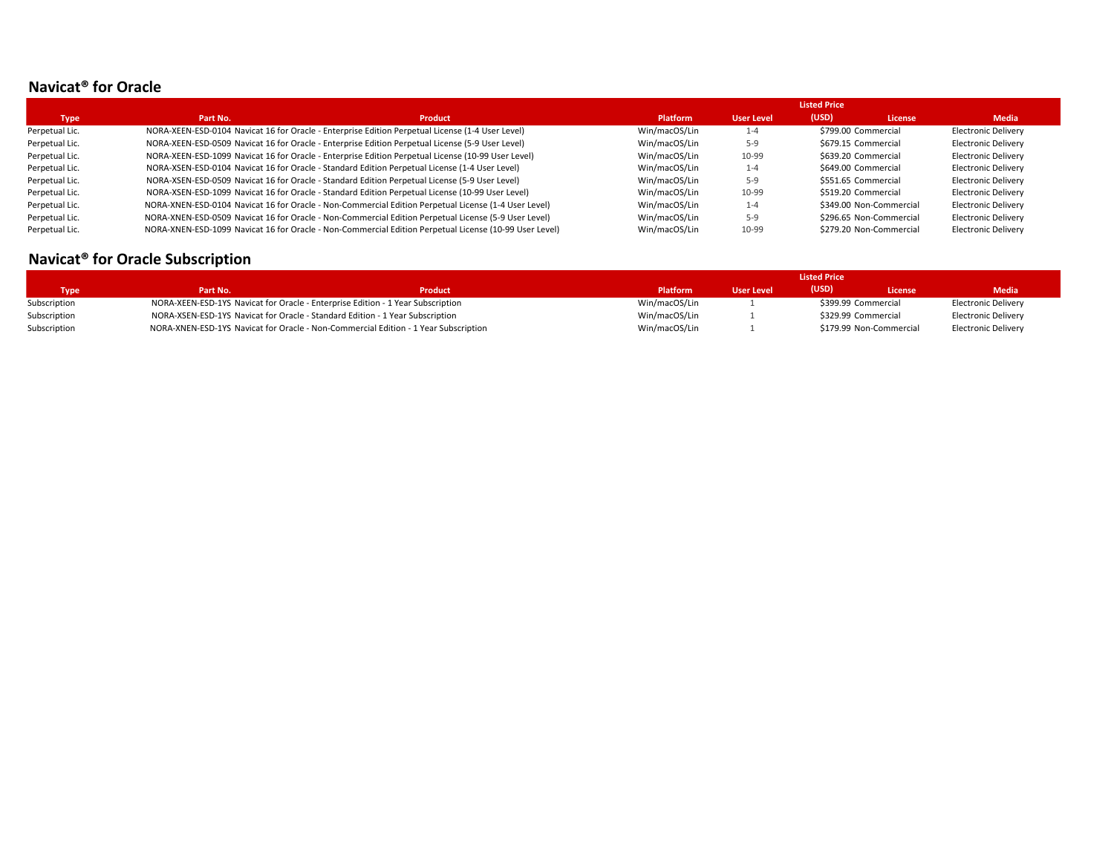#### **Navicat® for Oracle**

|                |          |                                                                                                        |                 |            | <b>Listed Price</b> |                         |                            |
|----------------|----------|--------------------------------------------------------------------------------------------------------|-----------------|------------|---------------------|-------------------------|----------------------------|
| <b>Type</b>    | Part No. | <b>Product</b>                                                                                         | <b>Platform</b> | User Level | (USD)               | <b>License</b>          | <b>Media</b>               |
| Perpetual Lic. |          | NORA-XEEN-ESD-0104 Navicat 16 for Oracle - Enterprise Edition Perpetual License (1-4 User Level)       | Win/macOS/Lin   | $1 - 4$    |                     | \$799.00 Commercial     | Electronic Delivery        |
| Perpetual Lic. |          | NORA-XEEN-ESD-0509 Navicat 16 for Oracle - Enterprise Edition Perpetual License (5-9 User Level)       | Win/macOS/Lin   | 5-9        |                     | \$679.15 Commercial     | Electronic Delivery        |
| Perpetual Lic. |          | NORA-XEEN-ESD-1099 Navicat 16 for Oracle - Enterprise Edition Perpetual License (10-99 User Level)     | Win/macOS/Lin   | 10-99      |                     | \$639.20 Commercial     | <b>Electronic Delivery</b> |
| Perpetual Lic. |          | NORA-XSEN-ESD-0104 Navicat 16 for Oracle - Standard Edition Perpetual License (1-4 User Level)         | Win/macOS/Lin   | $1 - 4$    |                     | \$649.00 Commercial     | Electronic Delivery        |
| Perpetual Lic. |          | NORA-XSEN-ESD-0509 Navicat 16 for Oracle - Standard Edition Perpetual License (5-9 User Level)         | Win/macOS/Lin   | $5-9$      |                     | \$551.65 Commercial     | <b>Electronic Delivery</b> |
| Perpetual Lic. |          | NORA-XSEN-ESD-1099 Navicat 16 for Oracle - Standard Edition Perpetual License (10-99 User Level)       | Win/macOS/Lin   | 10-99      |                     | \$519.20 Commercial     | Electronic Delivery        |
| Perpetual Lic. |          | NORA-XNEN-ESD-0104 Navicat 16 for Oracle - Non-Commercial Edition Perpetual License (1-4 User Level)   | Win/macOS/Lin   | $1 - 4$    |                     | \$349.00 Non-Commercial | <b>Electronic Delivery</b> |
| Perpetual Lic. |          | NORA-XNEN-ESD-0509 Navicat 16 for Oracle - Non-Commercial Edition Perpetual License (5-9 User Level)   | Win/macOS/Lin   | 5-9        |                     | \$296.65 Non-Commercial | <b>Electronic Delivery</b> |
| Perpetual Lic. |          | NORA-XNEN-ESD-1099 Navicat 16 for Oracle - Non-Commercial Edition Perpetual License (10-99 User Level) | Win/macOS/Lin   | 10-99      |                     | \$279.20 Non-Commercial | <b>Electronic Delivery</b> |

## **Navicat® for Oracle Subscription**

|              |                                                                                 |                                                                                     | <b>Listed Price</b> |                   |                     |                         |                            |  |  |
|--------------|---------------------------------------------------------------------------------|-------------------------------------------------------------------------------------|---------------------|-------------------|---------------------|-------------------------|----------------------------|--|--|
| <b>Type</b>  | Part No.                                                                        | <b>Product</b>                                                                      | <b>Platform</b>     | <b>User Level</b> | (USD)               | <b>License</b>          | <b>Media</b>               |  |  |
| Subscription | NORA-XEEN-ESD-1YS Navicat for Oracle - Enterprise Edition - 1 Year Subscription |                                                                                     | Win/macOS/Lin       |                   | \$399.99 Commercial |                         | Electronic Delivery        |  |  |
| Subscription | NORA-XSEN-ESD-1YS Navicat for Oracle - Standard Edition - 1 Year Subscription   |                                                                                     | Win/macOS/Lin       |                   | \$329.99 Commercial |                         | Electronic Delivery        |  |  |
| Subscription |                                                                                 | NORA-XNEN-ESD-1YS Navicat for Oracle - Non-Commercial Edition - 1 Year Subscription | Win/macOS/Lin       |                   |                     | \$179.99 Non-Commercial | <b>Electronic Delivery</b> |  |  |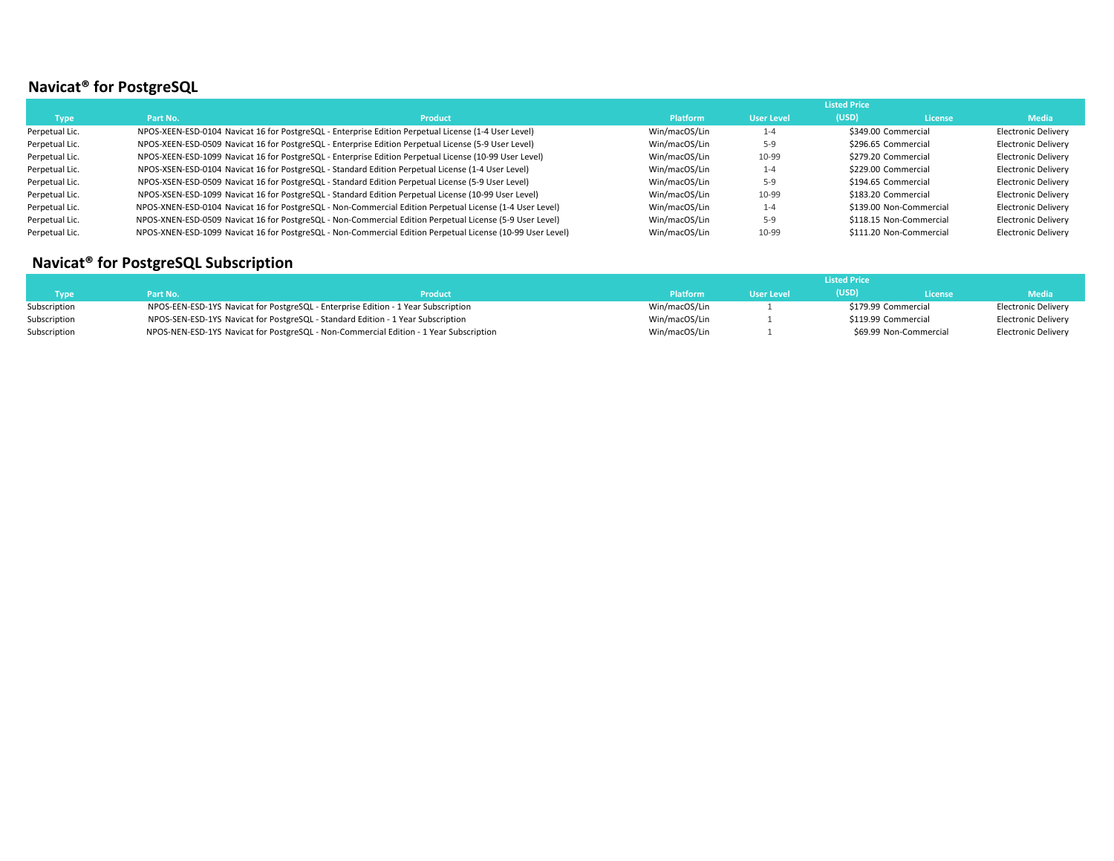# **Navicat® for PostgreSQL**

|                |          |                                                                                                            |                 |                   | <b>Listed Price</b> |                         |                            |
|----------------|----------|------------------------------------------------------------------------------------------------------------|-----------------|-------------------|---------------------|-------------------------|----------------------------|
| <b>Type</b>    | Part No. | <b>Product</b>                                                                                             | <b>Platform</b> | <b>User Level</b> | (USD)               | License                 | <b>Media</b>               |
| Perpetual Lic. |          | NPOS-XEEN-ESD-0104 Navicat 16 for PostgreSQL - Enterprise Edition Perpetual License (1-4 User Level)       | Win/macOS/Lin   | $1 - 4$           |                     | \$349.00 Commercial     | <b>Electronic Delivery</b> |
| Perpetual Lic. |          | NPOS-XEEN-ESD-0509 Navicat 16 for PostgreSQL - Enterprise Edition Perpetual License (5-9 User Level)       | Win/macOS/Lin   | 5-9               |                     | \$296.65 Commercial     | <b>Electronic Delivery</b> |
| Perpetual Lic. |          | NPOS-XEEN-ESD-1099 Navicat 16 for PostgreSQL - Enterprise Edition Perpetual License (10-99 User Level)     | Win/macOS/Lin   | 10-99             |                     | \$279.20 Commercial     | <b>Electronic Delivery</b> |
| Perpetual Lic. |          | NPOS-XSEN-ESD-0104 Navicat 16 for PostgreSQL - Standard Edition Perpetual License (1-4 User Level)         | Win/macOS/Lin   | $1 - 4$           |                     | \$229.00 Commercial     | <b>Electronic Delivery</b> |
| Perpetual Lic. |          | NPOS-XSEN-ESD-0509 Navicat 16 for PostgreSQL - Standard Edition Perpetual License (5-9 User Level)         | Win/macOS/Lin   | 5-9               |                     | \$194.65 Commercial     | <b>Electronic Delivery</b> |
| Perpetual Lic. |          | NPOS-XSEN-ESD-1099 Navicat 16 for PostgreSQL - Standard Edition Perpetual License (10-99 User Level)       | Win/macOS/Lin   | 10-99             |                     | \$183.20 Commercial     | <b>Electronic Delivery</b> |
| Perpetual Lic. |          | NPOS-XNEN-ESD-0104 Navicat 16 for PostgreSQL - Non-Commercial Edition Perpetual License (1-4 User Level)   | Win/macOS/Lin   | $1 - 4$           |                     | \$139.00 Non-Commercial | <b>Electronic Delivery</b> |
| Perpetual Lic. |          | NPOS-XNEN-ESD-0509 Navicat 16 for PostgreSQL - Non-Commercial Edition Perpetual License (5-9 User Level)   | Win/macOS/Lin   | $5-9$             |                     | \$118.15 Non-Commercial | <b>Electronic Delivery</b> |
| Perpetual Lic. |          | NPOS-XNEN-ESD-1099 Navicat 16 for PostgreSQL - Non-Commercial Edition Perpetual License (10-99 User Level) | Win/macOS/Lin   | 10-99             |                     | \$111.20 Non-Commercial | <b>Electronic Delivery</b> |

## **Navicat® for PostgreSQL Subscription**

|              |                                                                                        |                |                 | <b>Listed Price</b> |                     |                        |                     |  |  |
|--------------|----------------------------------------------------------------------------------------|----------------|-----------------|---------------------|---------------------|------------------------|---------------------|--|--|
| Type         | Part No.                                                                               | <b>Product</b> | <b>Platform</b> | <b>User Level</b>   | (USD)               | License                | <b>Media</b>        |  |  |
| Subscription | NPOS-EEN-ESD-1YS Navicat for PostgreSQL - Enterprise Edition - 1 Year Subscription     |                | Win/macOS/Lin   |                     | \$179.99 Commercial |                        | Electronic Delivery |  |  |
| Subscription | NPOS-SEN-ESD-1YS Navicat for PostgreSQL - Standard Edition - 1 Year Subscription       |                | Win/macOS/Lin   |                     |                     | \$119.99 Commercial    | Electronic Delivery |  |  |
| Subscription | NPOS-NEN-ESD-1YS Navicat for PostgreSQL - Non-Commercial Edition - 1 Year Subscription |                | Win/macOS/Lin   |                     |                     | \$69.99 Non-Commercial | Electronic Delivery |  |  |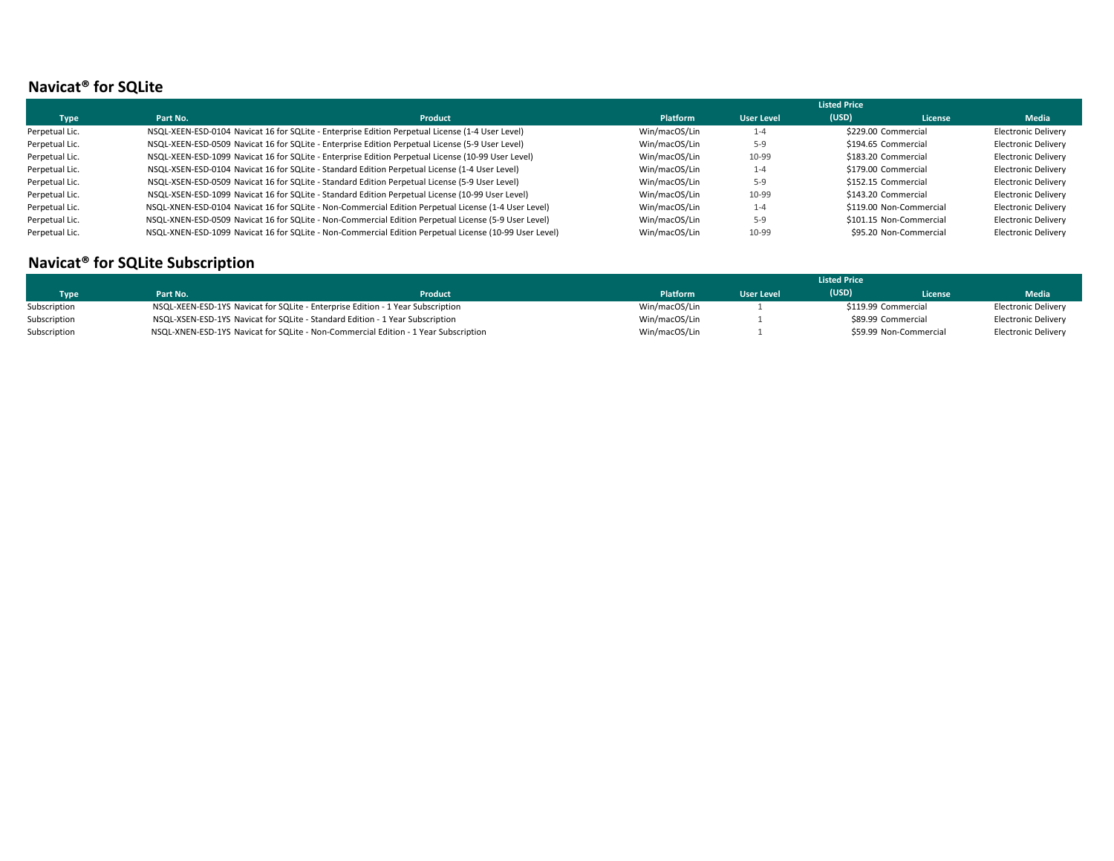## **Navicat® for SQLite**

|                |          |                                                                                                        |                 |                   | <b>Listed Price</b> |                         |                            |
|----------------|----------|--------------------------------------------------------------------------------------------------------|-----------------|-------------------|---------------------|-------------------------|----------------------------|
| <b>Type</b>    | Part No. | <b>Product</b>                                                                                         | <b>Platform</b> | <b>User Level</b> | (USD)               | License                 | Media                      |
| Perpetual Lic. |          | NSQL-XEEN-ESD-0104 Navicat 16 for SQLite - Enterprise Edition Perpetual License (1-4 User Level)       | Win/macOS/Lin   | $1 - 4$           |                     | \$229.00 Commercial     | <b>Electronic Delivery</b> |
| Perpetual Lic. |          | NSQL-XEEN-ESD-0509 Navicat 16 for SQLite - Enterprise Edition Perpetual License (5-9 User Level)       | Win/macOS/Lin   | $5-9$             |                     | \$194.65 Commercial     | <b>Electronic Delivery</b> |
| Perpetual Lic. |          | NSQL-XEEN-ESD-1099 Navicat 16 for SQLite - Enterprise Edition Perpetual License (10-99 User Level)     | Win/macOS/Lin   | 10-99             |                     | \$183.20 Commercial     | <b>Electronic Delivery</b> |
| Perpetual Lic. |          | NSQL-XSEN-ESD-0104 Navicat 16 for SQLite - Standard Edition Perpetual License (1-4 User Level)         | Win/macOS/Lin   | $1 - 4$           |                     | \$179.00 Commercial     | <b>Electronic Delivery</b> |
| Perpetual Lic. |          | NSQL-XSEN-ESD-0509 Navicat 16 for SQLite - Standard Edition Perpetual License (5-9 User Level)         | Win/macOS/Lin   | 5-9               |                     | \$152.15 Commercial     | <b>Electronic Delivery</b> |
| Perpetual Lic. |          | NSQL-XSEN-ESD-1099 Navicat 16 for SQLite - Standard Edition Perpetual License (10-99 User Level)       | Win/macOS/Lin   | 10-99             |                     | \$143.20 Commercial     | <b>Electronic Delivery</b> |
| Perpetual Lic. |          | NSQL-XNEN-ESD-0104 Navicat 16 for SQLite - Non-Commercial Edition Perpetual License (1-4 User Level)   | Win/macOS/Lin   | $1 - 4$           |                     | \$119.00 Non-Commercial | <b>Electronic Delivery</b> |
| Perpetual Lic. |          | NSQL-XNEN-ESD-0509 Navicat 16 for SQLite - Non-Commercial Edition Perpetual License (5-9 User Level)   | Win/macOS/Lin   | 5-9               |                     | \$101.15 Non-Commercial | <b>Electronic Delivery</b> |
| Perpetual Lic. |          | NSQL-XNEN-ESD-1099 Navicat 16 for SQLite - Non-Commercial Edition Perpetual License (10-99 User Level) | Win/macOS/Lin   | 10-99             |                     | \$95.20 Non-Commercial  | <b>Electronic Delivery</b> |

#### **Navicat® for SQLite Subscription**

|              |          |                                                                                     | <b>Listed Price</b> |                   |       |                        |                            |
|--------------|----------|-------------------------------------------------------------------------------------|---------------------|-------------------|-------|------------------------|----------------------------|
| <b>Type</b>  | Part No. | Product                                                                             | <b>Platform</b>     | <b>User Level</b> | (USD) | <b>License</b>         | Media                      |
| Subscription |          | NSQL-XEEN-ESD-1YS Navicat for SQLite - Enterprise Edition - 1 Year Subscription     | Win/macOS/Lin       |                   |       | \$119.99 Commercial    | Electronic Delivery        |
| Subscription |          | NSQL-XSEN-ESD-1YS Navicat for SQLite - Standard Edition - 1 Year Subscription       | Win/macOS/Lin       |                   |       | \$89.99 Commercial     | <b>Electronic Delivery</b> |
| Subscription |          | NSQL-XNEN-ESD-1YS Navicat for SQLite - Non-Commercial Edition - 1 Year Subscription | Win/macOS/Lin       |                   |       | \$59.99 Non-Commercial | <b>Electronic Delivery</b> |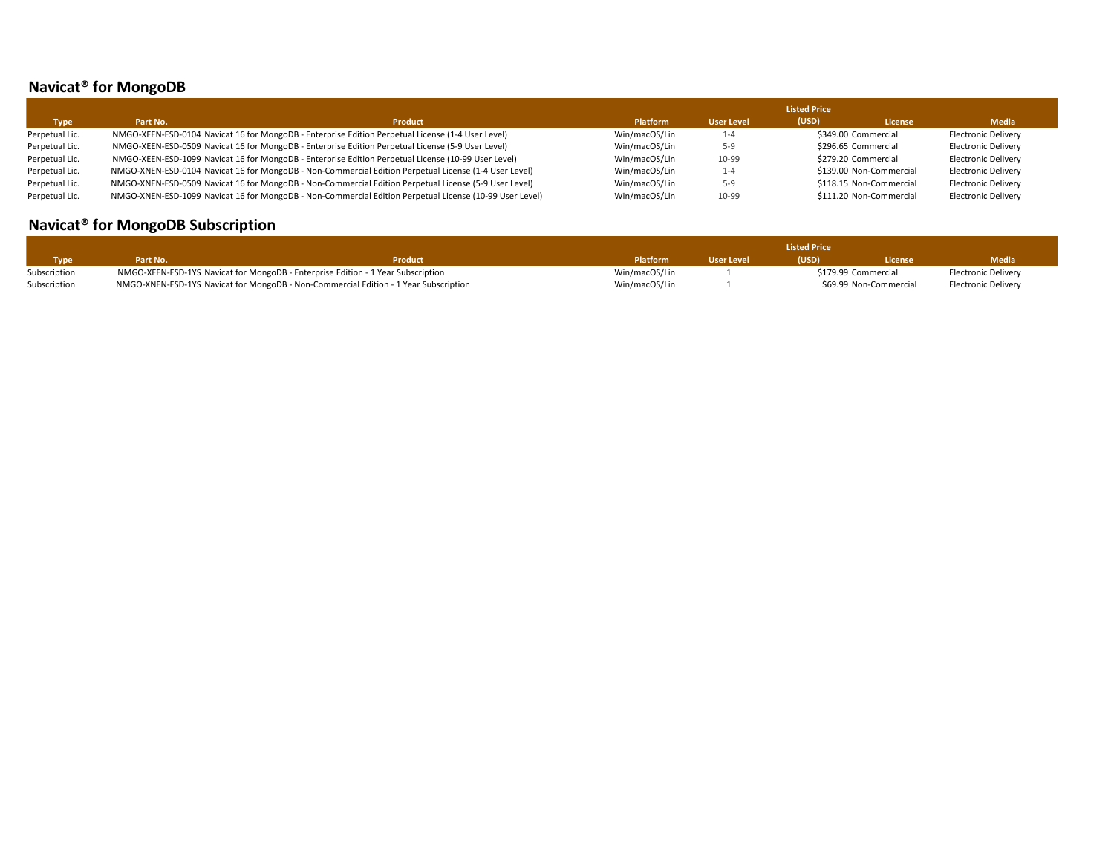# **Navicat® for MongoDB**

|                |          |                                                                                                         |                 |            | <b>Listed Price</b> |                         |                            |
|----------------|----------|---------------------------------------------------------------------------------------------------------|-----------------|------------|---------------------|-------------------------|----------------------------|
| <b>Type</b>    | Part No. | <b>Product</b>                                                                                          | <b>Platform</b> | User Level | (USD)               | <b>License</b>          | <b>Media</b>               |
| Perpetual Lic. |          | NMGO-XEEN-ESD-0104 Navicat 16 for MongoDB - Enterprise Edition Perpetual License (1-4 User Level)       | Win/macOS/Lin   | $1 - 4$    |                     | \$349.00 Commercial     | <b>Electronic Delivery</b> |
| Perpetual Lic. |          | NMGO-XEEN-ESD-0509 Navicat 16 for MongoDB - Enterprise Edition Perpetual License (5-9 User Level)       | Win/macOS/Lin   | $5-9$      |                     | \$296.65 Commercial     | <b>Electronic Delivery</b> |
| Perpetual Lic. |          | NMGO-XEEN-ESD-1099 Navicat 16 for MongoDB - Enterprise Edition Perpetual License (10-99 User Level)     | Win/macOS/Lin   | 10-99      |                     | \$279.20 Commercial     | <b>Electronic Delivery</b> |
| Perpetual Lic. |          | NMGO-XNEN-ESD-0104 Navicat 16 for MongoDB - Non-Commercial Edition Perpetual License (1-4 User Level)   | Win/macOS/Lin   | $1 - 4$    |                     | \$139.00 Non-Commercial | <b>Electronic Delivery</b> |
| Perpetual Lic. |          | NMGO-XNEN-ESD-0509 Navicat 16 for MongoDB - Non-Commercial Edition Perpetual License (5-9 User Level)   | Win/macOS/Lin   | $5-9$      |                     | \$118.15 Non-Commercial | <b>Electronic Delivery</b> |
| Perpetual Lic. |          | NMGO-XNEN-ESD-1099 Navicat 16 for MongoDB - Non-Commercial Edition Perpetual License (10-99 User Level) | Win/macOS/Lin   | 10-99      |                     | \$111.20 Non-Commercial | <b>Electronic Delivery</b> |

# **Navicat® for MongoDB Subscription**

|              |          |                                                                                      | <b>Listed Price</b> |                   |       |                        |                     |  |
|--------------|----------|--------------------------------------------------------------------------------------|---------------------|-------------------|-------|------------------------|---------------------|--|
| <b>Type</b>  | Part No. | <b>Product</b>                                                                       | <b>Platform</b>     | <b>User Level</b> | (USD) | License                | Media               |  |
| Subscription |          | NMGO-XEEN-ESD-1YS Navicat for MongoDB - Enterprise Edition - 1 Year Subscription     | Win/macOS/Lin       |                   |       | \$179.99 Commercial    | Electronic Delivery |  |
| Subscription |          | NMGO-XNEN-ESD-1YS Navicat for MongoDB - Non-Commercial Edition - 1 Year Subscription | Win/macOS/Lin       |                   |       | \$69.99 Non-Commercial | Electronic Delivery |  |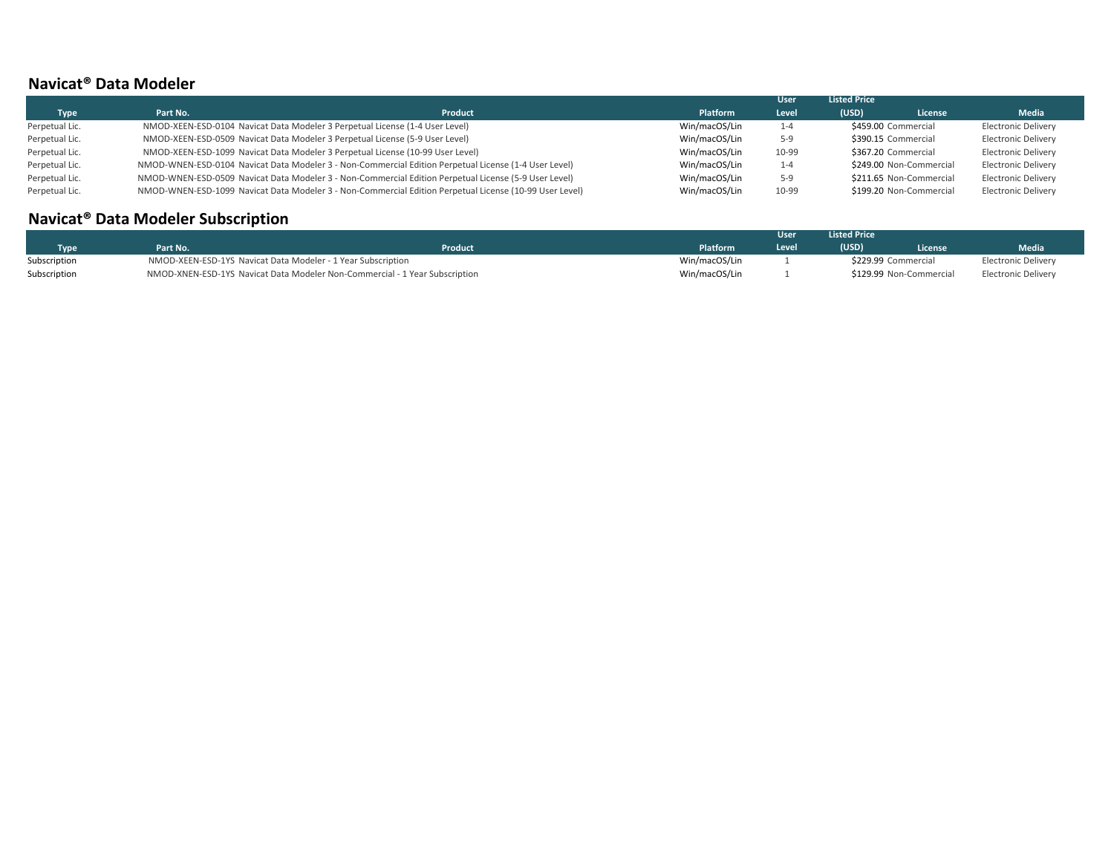#### **Navicat® Data Modeler**

|                |          |                                                                                                         |                 | <b>User</b> | <b>Listed Price</b> |                         |                            |
|----------------|----------|---------------------------------------------------------------------------------------------------------|-----------------|-------------|---------------------|-------------------------|----------------------------|
| <b>Type</b>    | Part No. | <b>Product</b>                                                                                          | <b>Platform</b> | Level       | (USD)               | License                 | Media                      |
| Perpetual Lic. |          | NMOD-XEEN-ESD-0104 Navicat Data Modeler 3 Perpetual License (1-4 User Level)                            | Win/macOS/Lin   | 1-4         |                     | \$459.00 Commercial     | Electronic Delivery        |
| Perpetual Lic. |          | NMOD-XEEN-ESD-0509 Navicat Data Modeler 3 Perpetual License (5-9 User Level)                            | Win/macOS/Lin   | $5-9$       |                     | \$390.15 Commercial     | Electronic Delivery        |
| Perpetual Lic. |          | NMOD-XEEN-ESD-1099 Navicat Data Modeler 3 Perpetual License (10-99 User Level)                          | Win/macOS/Lin   | 10-99       |                     | \$367.20 Commercial     | <b>Electronic Delivery</b> |
| Perpetual Lic. |          | NMOD-WNEN-ESD-0104 Navicat Data Modeler 3 - Non-Commercial Edition Perpetual License (1-4 User Level)   | Win/macOS/Lin   | $1 - 4$     |                     | \$249.00 Non-Commercial | <b>Electronic Delivery</b> |
| Perpetual Lic. |          | NMOD-WNEN-ESD-0509 Navicat Data Modeler 3 - Non-Commercial Edition Perpetual License (5-9 User Level)   | Win/macOS/Lin   | $5-9$       |                     | \$211.65 Non-Commercial | <b>Electronic Delivery</b> |
| Perpetual Lic. |          | NMOD-WNEN-ESD-1099 Navicat Data Modeler 3 - Non-Commercial Edition Perpetual License (10-99 User Level) | Win/macOS/Lin   | 10-99       |                     | \$199.20 Non-Commercial | <b>Electronic Delivery</b> |

# **Navicat® Data Modeler Subscription**

|              |          |                                                                             |                 | User  | <b>Listed Price</b> |                         |                     |
|--------------|----------|-----------------------------------------------------------------------------|-----------------|-------|---------------------|-------------------------|---------------------|
| Type         | Part No. | <b>Product</b>                                                              | <b>Platform</b> | Level | (USD)               | <b>License</b>          | Media               |
| Subscription |          | NMOD-XEEN-ESD-1YS Navicat Data Modeler - 1 Year Subscription                | Win/macOS/Lin   |       |                     | \$229.99 Commercial     | Electronic Delivery |
| Subscription |          | NMOD-XNEN-ESD-1YS Navicat Data Modeler Non-Commercial - 1 Year Subscription | Win/macOS/Lin   |       |                     | \$129.99 Non-Commercial | Electronic Delivery |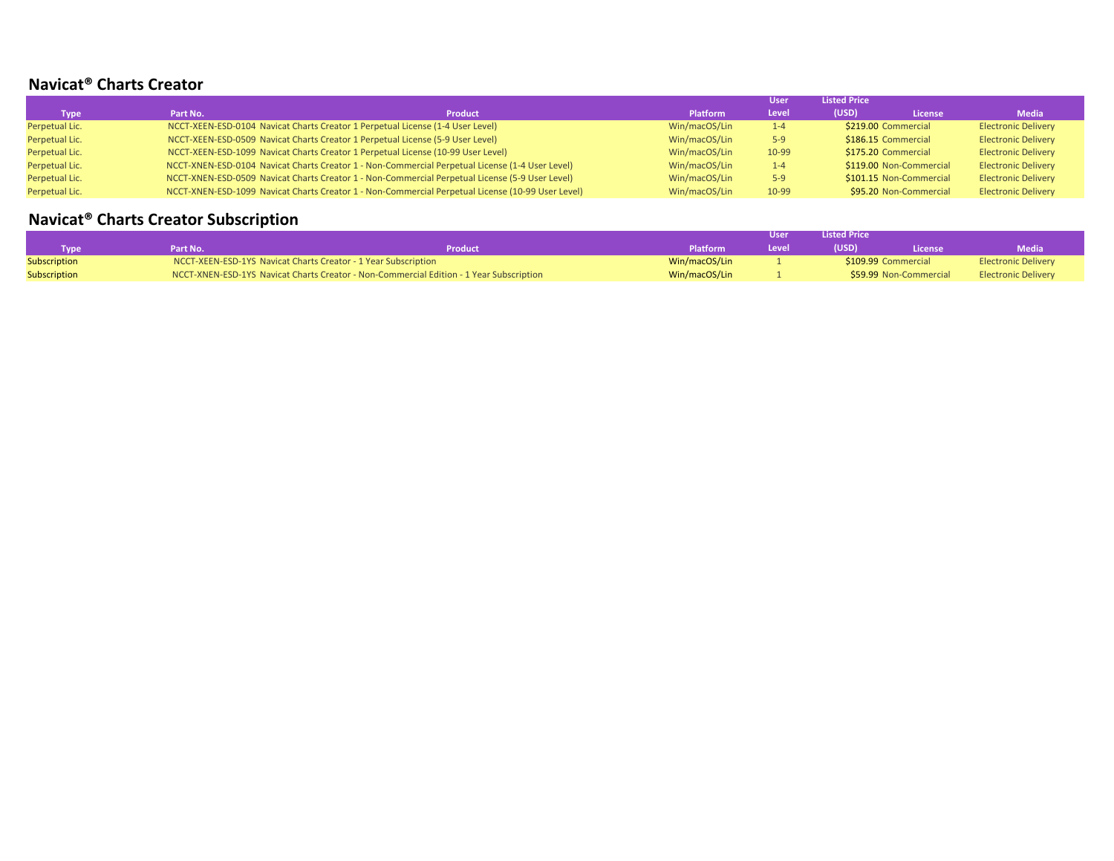#### **Navicat® Charts Creator**

|                |                                                                                                   |                |                 | <b>User</b> | <b>Listed Price</b> |                         |                            |
|----------------|---------------------------------------------------------------------------------------------------|----------------|-----------------|-------------|---------------------|-------------------------|----------------------------|
| Type Type      | Part No.                                                                                          | <b>Product</b> | <b>Platform</b> | Level       | (USD)               | <b>License</b>          | <b>Media</b>               |
| Perpetual Lic. | NCCT-XEEN-ESD-0104 Navicat Charts Creator 1 Perpetual License (1-4 User Level)                    |                | Win/macOS/Lin   | $1-4$       | \$219.00 Commercial |                         | <b>Electronic Delivery</b> |
| Perpetual Lic. | NCCT-XEEN-ESD-0509 Navicat Charts Creator 1 Perpetual License (5-9 User Level)                    |                | Win/macOS/Lin   | $5-9$       | \$186.15 Commercial |                         | <b>Electronic Delivery</b> |
| Perpetual Lic. | NCCT-XEEN-ESD-1099 Navicat Charts Creator 1 Perpetual License (10-99 User Level)                  |                | Win/macOS/Lin   | 10-99       | \$175.20 Commercial |                         | <b>Electronic Delivery</b> |
| Perpetual Lic. | NCCT-XNEN-ESD-0104 Navicat Charts Creator 1 - Non-Commercial Perpetual License (1-4 User Level)   |                | Win/macOS/Lin   | $1-4$       |                     | \$119.00 Non-Commercial | <b>Electronic Delivery</b> |
| Perpetual Lic. | NCCT-XNEN-ESD-0509 Navicat Charts Creator 1 - Non-Commercial Perpetual License (5-9 User Level)   |                | Win/macOS/Lin   | $5-9$       |                     | \$101.15 Non-Commercial | <b>Electronic Delivery</b> |
| Perpetual Lic. | NCCT-XNEN-ESD-1099 Navicat Charts Creator 1 - Non-Commercial Perpetual License (10-99 User Level) |                | Win/macOS/Lin   | 10-99       |                     | \$95.20 Non-Commercial  | <b>Electronic Delivery</b> |

# **Navicat® Charts Creator Subscription**

|              |                                                                |                                                                                         |                 | User  | <b>Listed Price</b> |                        |                            |
|--------------|----------------------------------------------------------------|-----------------------------------------------------------------------------------------|-----------------|-------|---------------------|------------------------|----------------------------|
| Tvpe         | 'art No.                                                       | Product                                                                                 | <b>Platform</b> | Level | (USD)               | License                | Media                      |
| Subscription | NCCT-XEEN-ESD-1YS Navicat Charts Creator - 1 Year Subscription |                                                                                         | Win/macOS/Lin   |       |                     | \$109.99 Commercial    | <b>Electronic Delivery</b> |
| Subscription |                                                                | NCCT-XNEN-ESD-1YS Navicat Charts Creator - Non-Commercial Edition - 1 Year Subscription | Win/macOS/Lin   |       |                     | \$59.99 Non-Commercial | <b>Electronic Delivery</b> |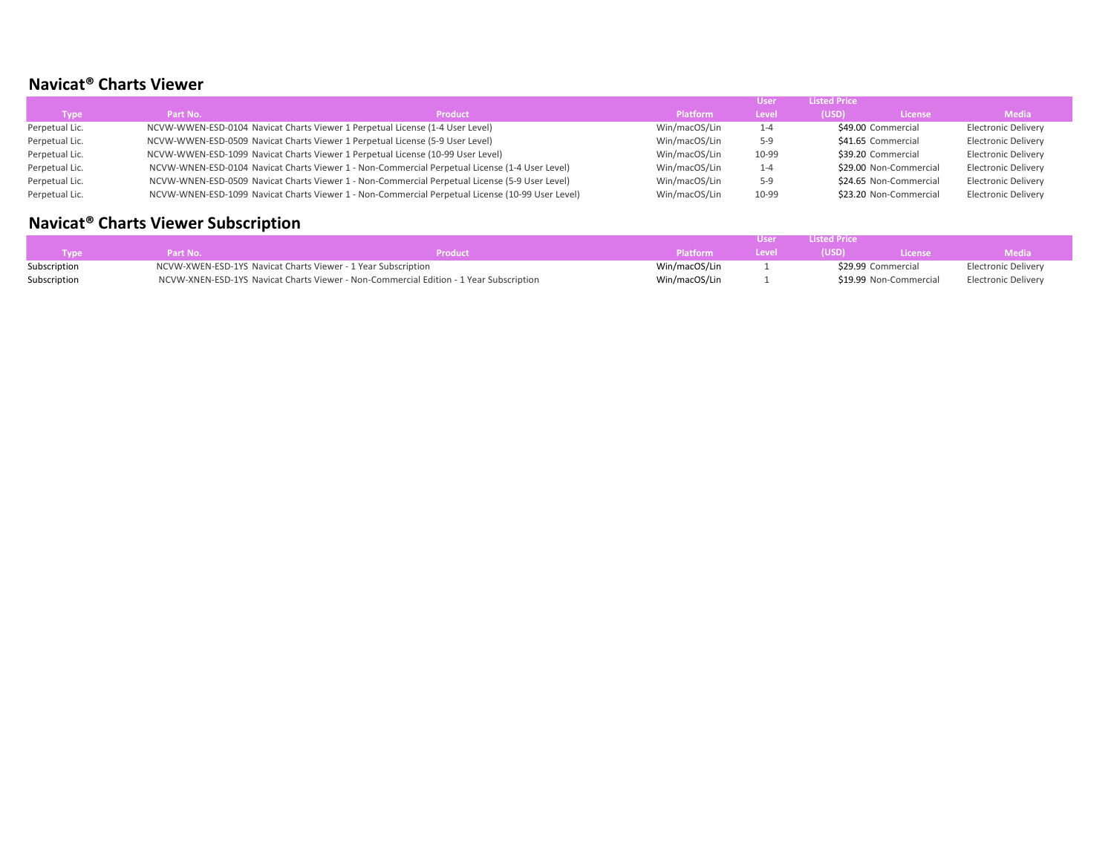## **Navicat® Charts Viewer**

|                |          |                                                                                                  |                 |         | <b>Listed Price</b> |                        |                            |
|----------------|----------|--------------------------------------------------------------------------------------------------|-----------------|---------|---------------------|------------------------|----------------------------|
| <b>Type</b>    | Part No. | <b>Product</b>                                                                                   | <b>Platform</b> | Level   | (USD)               | <b>License</b>         | <b>Media</b>               |
| Perpetual Lic. |          | NCVW-WWEN-ESD-0104 Navicat Charts Viewer 1 Perpetual License (1-4 User Level)                    | Win/macOS/Lin   | $1 - 4$ |                     | \$49.00 Commercial     | <b>Electronic Delivery</b> |
| Perpetual Lic. |          | NCVW-WWEN-ESD-0509 Navicat Charts Viewer 1 Perpetual License (5-9 User Level)                    | Win/macOS/Lin   | 5-9     |                     | \$41.65 Commercial     | <b>Electronic Delivery</b> |
| Perpetual Lic. |          | NCVW-WWEN-ESD-1099 Navicat Charts Viewer 1 Perpetual License (10-99 User Level)                  | Win/macOS/Lin   | 10-99   |                     | \$39.20 Commercial     | <b>Electronic Delivery</b> |
| Perpetual Lic. |          | NCVW-WNEN-ESD-0104 Navicat Charts Viewer 1 - Non-Commercial Perpetual License (1-4 User Level)   | Win/macOS/Lin   | $1 - 4$ |                     | \$29.00 Non-Commercial | <b>Electronic Delivery</b> |
| Perpetual Lic. |          | NCVW-WNEN-ESD-0509 Navicat Charts Viewer 1 - Non-Commercial Perpetual License (5-9 User Level)   | Win/macOS/Lin   | 5-9     |                     | \$24.65 Non-Commercial | <b>Electronic Delivery</b> |
| Perpetual Lic. |          | NCVW-WNEN-ESD-1099 Navicat Charts Viewer 1 - Non-Commercial Perpetual License (10-99 User Level) | Win/macOS/Lin   | 10-99   |                     | \$23.20 Non-Commercial | <b>Electronic Delivery</b> |

# **Navicat® Charts Viewer Subscription**

|              |                                                               |                                                                                        |               | llser i      | <b>Example 1</b> Listed Price |                        |                            |
|--------------|---------------------------------------------------------------|----------------------------------------------------------------------------------------|---------------|--------------|-------------------------------|------------------------|----------------------------|
|              | Part No.                                                      | Product                                                                                | / Platform    | <b>Level</b> | (USD)                         | <b>License</b>         | <b>Media</b>               |
| Subscription | NCVW-XWEN-ESD-1YS Navicat Charts Viewer - 1 Year Subscription |                                                                                        | Win/macOS/Lin |              | \$29.99 Commercial            |                        | Electronic Delivery        |
| Subscription |                                                               | NCVW-XNEN-ESD-1YS Navicat Charts Viewer - Non-Commercial Edition - 1 Year Subscription | Win/macOS/Lin |              |                               | \$19.99 Non-Commercial | <b>Electronic Delivery</b> |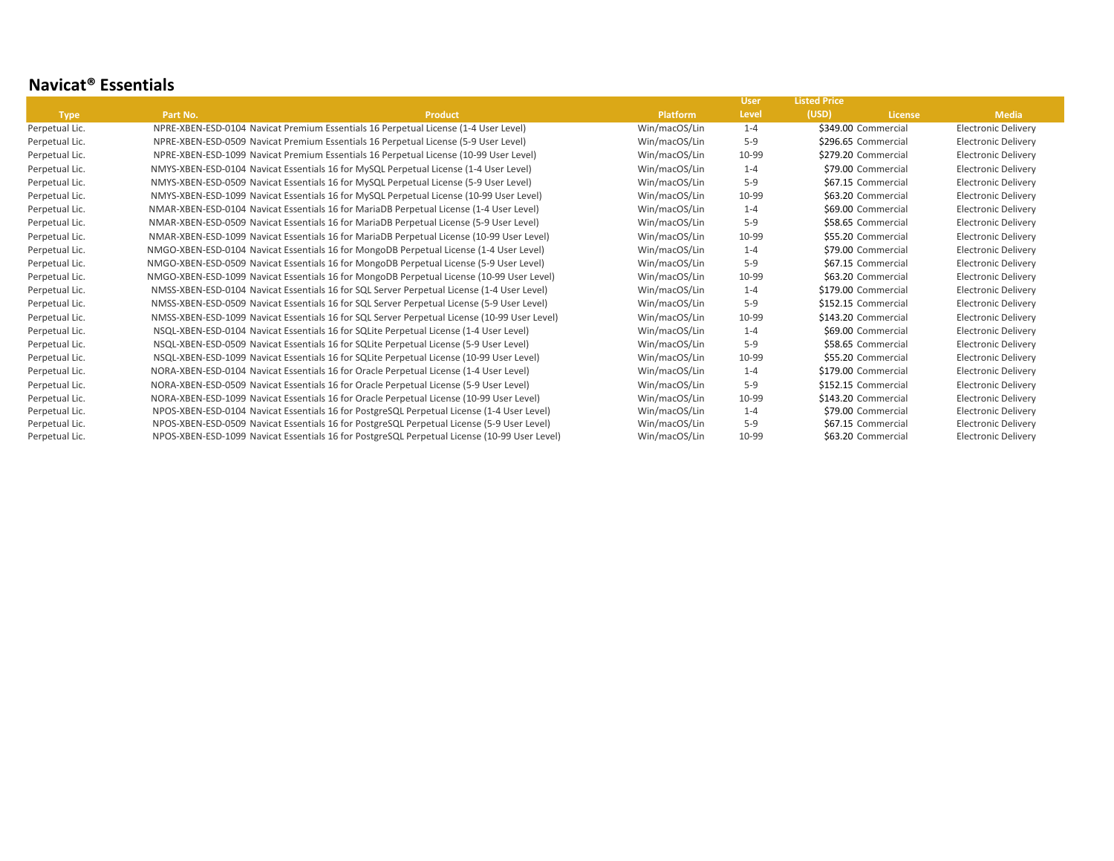#### **Navicat® Essentials**

|                |          |                                                                                              |                 | <b>User</b> | <b>Listed Price</b> |                    |                            |  |
|----------------|----------|----------------------------------------------------------------------------------------------|-----------------|-------------|---------------------|--------------------|----------------------------|--|
| <b>Type</b>    | Part No. | <b>Product</b>                                                                               | <b>Platform</b> | Level       | (USD)               | <b>License</b>     | <b>Media</b>               |  |
| Perpetual Lic. |          | NPRE-XBEN-ESD-0104 Navicat Premium Essentials 16 Perpetual License (1-4 User Level)          | Win/macOS/Lin   | $1 - 4$     | \$349.00 Commercial |                    | <b>Electronic Delivery</b> |  |
| Perpetual Lic. |          | NPRE-XBEN-ESD-0509 Navicat Premium Essentials 16 Perpetual License (5-9 User Level)          | Win/macOS/Lin   | $5-9$       | \$296.65 Commercial |                    | <b>Electronic Delivery</b> |  |
| Perpetual Lic. |          | NPRE-XBEN-ESD-1099 Navicat Premium Essentials 16 Perpetual License (10-99 User Level)        | Win/macOS/Lin   | 10-99       | \$279.20 Commercial |                    | Electronic Delivery        |  |
| Perpetual Lic. |          | NMYS-XBEN-ESD-0104 Navicat Essentials 16 for MySQL Perpetual License (1-4 User Level)        | Win/macOS/Lin   | $1 - 4$     |                     | \$79.00 Commercial | <b>Electronic Delivery</b> |  |
| Perpetual Lic. |          | NMYS-XBEN-ESD-0509 Navicat Essentials 16 for MySQL Perpetual License (5-9 User Level)        | Win/macOS/Lin   | $5-9$       |                     | \$67.15 Commercial | <b>Electronic Delivery</b> |  |
| Perpetual Lic. |          | NMYS-XBEN-ESD-1099 Navicat Essentials 16 for MySQL Perpetual License (10-99 User Level)      | Win/macOS/Lin   | 10-99       |                     | \$63.20 Commercial | <b>Electronic Delivery</b> |  |
| Perpetual Lic. |          | NMAR-XBEN-ESD-0104 Navicat Essentials 16 for MariaDB Perpetual License (1-4 User Level)      | Win/macOS/Lin   | $1 - 4$     |                     | \$69.00 Commercial | <b>Electronic Delivery</b> |  |
| Perpetual Lic. |          | NMAR-XBEN-ESD-0509 Navicat Essentials 16 for MariaDB Perpetual License (5-9 User Level)      | Win/macOS/Lin   | $5-9$       |                     | \$58.65 Commercial | <b>Electronic Delivery</b> |  |
| Perpetual Lic. |          | NMAR-XBEN-ESD-1099 Navicat Essentials 16 for MariaDB Perpetual License (10-99 User Level)    | Win/macOS/Lin   | 10-99       |                     | \$55.20 Commercial | <b>Electronic Delivery</b> |  |
| Perpetual Lic. |          | NMGO-XBEN-ESD-0104 Navicat Essentials 16 for MongoDB Perpetual License (1-4 User Level)      | Win/macOS/Lin   | $1 - 4$     |                     | \$79.00 Commercial | <b>Electronic Delivery</b> |  |
| Perpetual Lic. |          | NMGO-XBEN-ESD-0509 Navicat Essentials 16 for MongoDB Perpetual License (5-9 User Level)      | Win/macOS/Lin   | $5-9$       |                     | \$67.15 Commercial | <b>Electronic Delivery</b> |  |
| Perpetual Lic. |          | NMGO-XBEN-ESD-1099 Navicat Essentials 16 for MongoDB Perpetual License (10-99 User Level)    | Win/macOS/Lin   | 10-99       |                     | \$63.20 Commercial | <b>Electronic Delivery</b> |  |
| Perpetual Lic. |          | NMSS-XBEN-ESD-0104 Navicat Essentials 16 for SQL Server Perpetual License (1-4 User Level)   | Win/macOS/Lin   | $1 - 4$     | \$179.00 Commercial |                    | <b>Electronic Delivery</b> |  |
| Perpetual Lic. |          | NMSS-XBEN-ESD-0509 Navicat Essentials 16 for SQL Server Perpetual License (5-9 User Level)   | Win/macOS/Lin   | $5-9$       | \$152.15 Commercial |                    | Electronic Delivery        |  |
| Perpetual Lic. |          | NMSS-XBEN-ESD-1099 Navicat Essentials 16 for SQL Server Perpetual License (10-99 User Level) | Win/macOS/Lin   | 10-99       | \$143.20 Commercial |                    | <b>Electronic Delivery</b> |  |
| Perpetual Lic. |          | NSQL-XBEN-ESD-0104 Navicat Essentials 16 for SQLite Perpetual License (1-4 User Level)       | Win/macOS/Lin   | $1 - 4$     |                     | \$69.00 Commercial | <b>Electronic Delivery</b> |  |
| Perpetual Lic. |          | NSQL-XBEN-ESD-0509 Navicat Essentials 16 for SQLite Perpetual License (5-9 User Level)       | Win/macOS/Lin   | $5-9$       |                     | \$58.65 Commercial | <b>Electronic Delivery</b> |  |
| Perpetual Lic. |          | NSQL-XBEN-ESD-1099 Navicat Essentials 16 for SQLite Perpetual License (10-99 User Level)     | Win/macOS/Lin   | 10-99       |                     | \$55.20 Commercial | <b>Electronic Delivery</b> |  |
| Perpetual Lic. |          | NORA-XBEN-ESD-0104 Navicat Essentials 16 for Oracle Perpetual License (1-4 User Level)       | Win/macOS/Lin   | $1 - 4$     | \$179.00 Commercial |                    | <b>Electronic Delivery</b> |  |
| Perpetual Lic. |          | NORA-XBEN-ESD-0509 Navicat Essentials 16 for Oracle Perpetual License (5-9 User Level)       | Win/macOS/Lin   | $5-9$       | \$152.15 Commercial |                    | <b>Electronic Delivery</b> |  |
| Perpetual Lic. |          | NORA-XBEN-ESD-1099 Navicat Essentials 16 for Oracle Perpetual License (10-99 User Level)     | Win/macOS/Lin   | 10-99       | \$143.20 Commercial |                    | <b>Electronic Delivery</b> |  |
| Perpetual Lic. |          | NPOS-XBEN-ESD-0104 Navicat Essentials 16 for PostgreSQL Perpetual License (1-4 User Level)   | Win/macOS/Lin   | $1 - 4$     |                     | \$79.00 Commercial | <b>Electronic Delivery</b> |  |
| Perpetual Lic. |          | NPOS-XBEN-ESD-0509 Navicat Essentials 16 for PostgreSQL Perpetual License (5-9 User Level)   | Win/macOS/Lin   | $5-9$       |                     | \$67.15 Commercial | Electronic Delivery        |  |
| Perpetual Lic. |          | NPOS-XBEN-ESD-1099 Navicat Essentials 16 for PostgreSQL Perpetual License (10-99 User Level) | Win/macOS/Lin   | 10-99       |                     | \$63.20 Commercial | Electronic Delivery        |  |
|                |          |                                                                                              |                 |             |                     |                    |                            |  |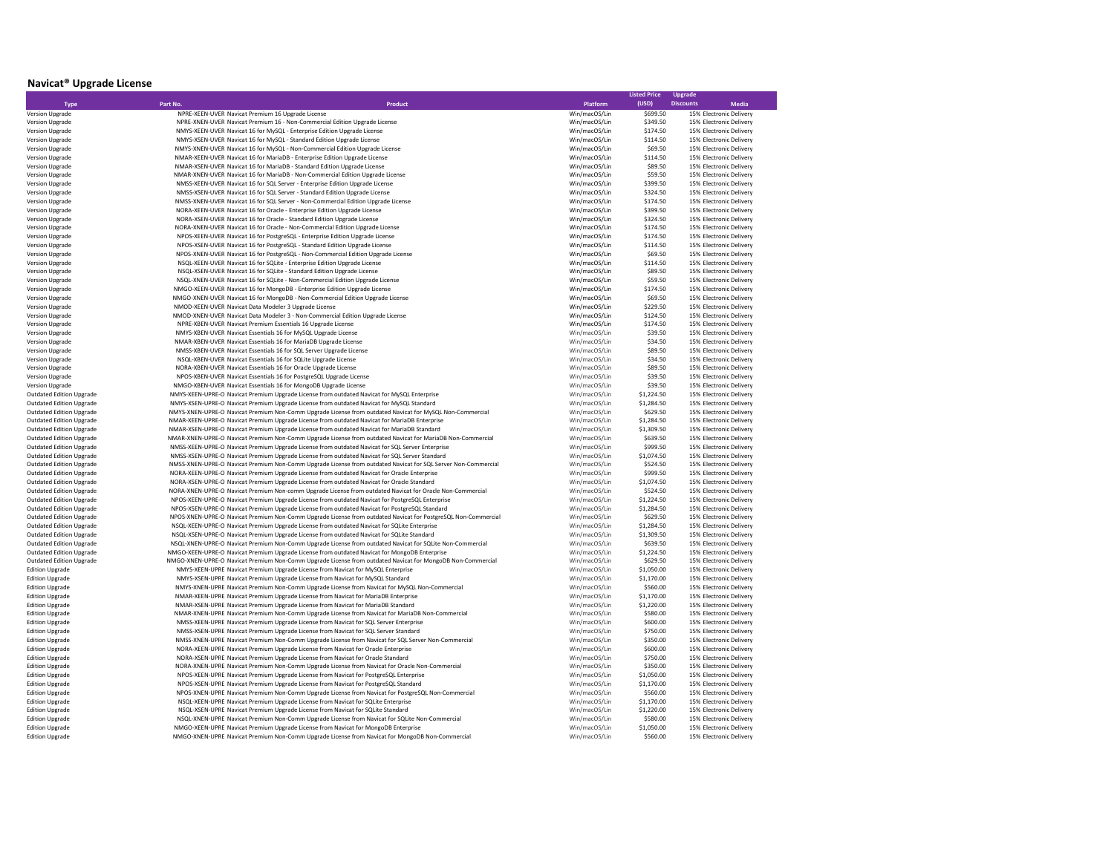# **Navicat® Upgrade License**

|                                                  |                                                                                                                                                                                      |                                | <b>Listed Price</b>    | <b>Upgrade</b>                                     |
|--------------------------------------------------|--------------------------------------------------------------------------------------------------------------------------------------------------------------------------------------|--------------------------------|------------------------|----------------------------------------------------|
| <b>Type</b>                                      | Part No.<br>Product                                                                                                                                                                  | Platform                       | (USD)                  | <b>Discounts</b><br><b>Media</b>                   |
| Version Upgrade                                  | NPRE-XEEN-UVER Navicat Premium 16 Upgrade License                                                                                                                                    | Win/macOS/Lin                  | \$699.50               | 15% Electronic Delivery                            |
| Version Upgrade                                  | NPRE-XNEN-UVER Navicat Premium 16 - Non-Commercial Edition Upgrade License                                                                                                           | Win/macOS/Lin                  | \$349.50               | 15% Electronic Delivery                            |
| Version Upgrade                                  | NMYS-XEEN-UVER Navicat 16 for MySQL - Enterprise Edition Upgrade License                                                                                                             | Win/macOS/Lin                  | \$174.50               | 15% Electronic Delivery                            |
| Version Upgrade                                  | NMYS-XSEN-UVER Navicat 16 for MySQL - Standard Edition Upgrade License                                                                                                               | Win/macOS/Lin                  | \$114.50               | 15% Electronic Delivery                            |
| Version Upgrade                                  | NMYS-XNEN-UVER Navicat 16 for MySQL - Non-Commercial Edition Upgrade License                                                                                                         | Win/macOS/Lin                  | \$69.50                | 15% Electronic Delivery                            |
| Version Upgrade                                  | NMAR-XEEN-UVER Navicat 16 for MariaDB - Enterprise Edition Upgrade License                                                                                                           | Win/macOS/Lin                  | \$114.50               | 15% Electronic Delivery                            |
| Version Upgrade                                  | NMAR-XSEN-UVER Navicat 16 for MariaDB - Standard Edition Upgrade License                                                                                                             | Win/macOS/Lin                  | \$89.50                | 15% Electronic Delivery                            |
| Version Upgrade                                  | NMAR-XNEN-UVER Navicat 16 for MariaDB - Non-Commercial Edition Upgrade License                                                                                                       | Win/macOS/Lin                  | \$59.50                | 15% Electronic Delivery                            |
| Version Upgrade                                  | NMSS-XEEN-UVER Navicat 16 for SQL Server - Enterprise Edition Upgrade License                                                                                                        | Win/macOS/Lin                  | \$399.50               | 15% Electronic Delivery                            |
| Version Upgrade                                  | NMSS-XSEN-UVER Navicat 16 for SQL Server - Standard Edition Upgrade License                                                                                                          | Win/macOS/Lin                  | \$324.50               | 15% Electronic Delivery                            |
| Version Upgrade                                  | NMSS-XNEN-UVER Navicat 16 for SQL Server - Non-Commercial Edition Upgrade License                                                                                                    | Win/macOS/Lin                  | \$174.50               | 15% Electronic Delivery                            |
| Version Upgrade                                  | NORA-XEEN-UVER Navicat 16 for Oracle - Enterprise Edition Upgrade License                                                                                                            | Win/macOS/Lin                  | \$399.50               | 15% Electronic Delivery                            |
| Version Upgrade                                  | NORA-XSEN-UVER Navicat 16 for Oracle - Standard Edition Upgrade License                                                                                                              | Win/macOS/Lin                  | \$324.50               | 15% Electronic Delivery                            |
| Version Upgrade                                  | NORA-XNEN-UVER Navicat 16 for Oracle - Non-Commercial Edition Upgrade License<br>NPOS-XEEN-UVER Navicat 16 for PostgreSQL - Enterprise Edition Upgrade License                       | Win/macOS/Lin                  | \$174.50<br>\$174.50   | 15% Electronic Delivery                            |
| Version Upgrade<br>Version Upgrade               | NPOS-XSEN-UVER Navicat 16 for PostgreSQL - Standard Edition Upgrade License                                                                                                          | Win/macOS/Lin<br>Win/macOS/Lin | \$114.50               | 15% Electronic Delivery<br>15% Electronic Delivery |
| Version Upgrade                                  | NPOS-XNEN-UVER Navicat 16 for PostgreSQL - Non-Commercial Edition Upgrade License                                                                                                    | Win/macOS/Lin                  | \$69.50                | 15% Electronic Delivery                            |
|                                                  | NSQL-XEEN-UVER Navicat 16 for SQLite - Enterprise Edition Upgrade License                                                                                                            | Win/macOS/Lin                  | \$114.50               | 15% Electronic Delivery                            |
| Version Upgrade<br>Version Upgrade               | NSQL-XSEN-UVER Navicat 16 for SQLite - Standard Edition Upgrade License                                                                                                              | Win/macOS/Lin                  | \$89.50                | 15% Electronic Delivery                            |
| Version Upgrade                                  | NSQL-XNEN-UVER Navicat 16 for SQLite - Non-Commercial Edition Upgrade License                                                                                                        | Win/macOS/Lin                  | \$59.50                | 15% Electronic Delivery                            |
| Version Upgrade                                  | NMGO-XEEN-UVER Navicat 16 for MongoDB - Enterprise Edition Upgrade License                                                                                                           | Win/macOS/Lin                  | \$174.50               | 15% Electronic Delivery                            |
| Version Upgrade                                  | NMGO-XNEN-UVER Navicat 16 for MongoDB - Non-Commercial Edition Upgrade License                                                                                                       | Win/macOS/Lin                  | \$69.50                | 15% Electronic Delivery                            |
| Version Upgrade                                  | NMOD-XEEN-UVER Navicat Data Modeler 3 Upgrade License                                                                                                                                | Win/macOS/Lin                  | \$229.50               | 15% Electronic Delivery                            |
| Version Upgrade                                  | NMOD-XNEN-UVER Navicat Data Modeler 3 - Non-Commercial Edition Upgrade License                                                                                                       | Win/macOS/Lin                  | \$124.50               | 15% Electronic Delivery                            |
| Version Upgrade                                  | NPRE-XBEN-UVER Navicat Premium Essentials 16 Upgrade License                                                                                                                         | Win/macOS/Lin                  | \$174.50               | 15% Electronic Delivery                            |
| Version Upgrade                                  | NMYS-XBEN-UVER Navicat Essentials 16 for MySQL Upgrade License                                                                                                                       | Win/macOS/Lin                  | \$39.50                | 15% Electronic Delivery                            |
| Version Upgrade                                  | NMAR-XBEN-UVER Navicat Essentials 16 for MariaDB Upgrade License                                                                                                                     | Win/macOS/Lin                  | \$34.50                | 15% Electronic Delivery                            |
| Version Upgrade                                  | NMSS-XBEN-UVER Navicat Essentials 16 for SQL Server Upgrade License                                                                                                                  | Win/macOS/Lin                  | \$89.50                | 15% Electronic Delivery                            |
| Version Upgrade                                  | NSQL-XBEN-UVER Navicat Essentials 16 for SQLite Upgrade License                                                                                                                      | Win/macOS/Lin                  | \$34.50                | 15% Electronic Delivery                            |
| Version Upgrade                                  | NORA-XBEN-UVER Navicat Essentials 16 for Oracle Upgrade License                                                                                                                      | Win/macOS/Lin                  | \$89.50                | 15% Electronic Delivery                            |
| Version Upgrade                                  | NPOS-XBEN-UVER Navicat Essentials 16 for PostgreSQL Upgrade License                                                                                                                  | Win/macOS/Lin                  | \$39.50                | 15% Electronic Delivery                            |
| Version Upgrade                                  | NMGO-XBEN-UVER Navicat Essentials 16 for MongoDB Upgrade License                                                                                                                     | Win/macOS/Lin                  | \$39.50                | 15% Electronic Delivery                            |
| <b>Outdated Edition Upgrade</b>                  | NMYS-XEEN-UPRE-O Navicat Premium Upgrade License from outdated Navicat for MySQL Enterprise                                                                                          | Win/macOS/Lin                  | \$1,224.50             | 15% Electronic Delivery                            |
| <b>Outdated Edition Upgrade</b>                  | NMYS-XSEN-UPRE-O Navicat Premium Upgrade License from outdated Navicat for MySQL Standard                                                                                            | Win/macOS/Lin                  | \$1,284.50             | 15% Electronic Delivery                            |
| <b>Outdated Edition Upgrade</b>                  | NMYS-XNEN-UPRE-O Navicat Premium Non-Comm Upgrade License from outdated Navicat for MySQL Non-Commercial                                                                             | Win/macOS/Lin                  | \$629.50               | 15% Electronic Delivery                            |
| <b>Outdated Edition Upgrade</b>                  | NMAR-XEEN-UPRE-O Navicat Premium Upgrade License from outdated Navicat for MariaDB Enterprise                                                                                        | Win/macOS/Lin                  | \$1,284.50             | 15% Electronic Delivery                            |
| <b>Outdated Edition Upgrade</b>                  | NMAR-XSEN-UPRE-O Navicat Premium Upgrade License from outdated Navicat for MariaDB Standard                                                                                          | Win/macOS/Lin                  | \$1,309.50             | 15% Electronic Delivery                            |
| <b>Outdated Edition Upgrade</b>                  | NMAR-XNEN-UPRE-O Navicat Premium Non-Comm Upgrade License from outdated Navicat for MariaDB Non-Commercial                                                                           | Win/macOS/Lin                  | \$639.50               | 15% Electronic Delivery                            |
| <b>Outdated Edition Upgrade</b>                  | NMSS-XEEN-UPRE-O Navicat Premium Upgrade License from outdated Navicat for SQL Server Enterprise                                                                                     | Win/macOS/Lin                  | \$999.50               | 15% Electronic Delivery                            |
| <b>Outdated Edition Upgrade</b>                  | NMSS-XSEN-UPRE-O Navicat Premium Upgrade License from outdated Navicat for SQL Server Standard                                                                                       | Win/macOS/Lin                  | \$1,074.50             | 15% Electronic Delivery                            |
| <b>Outdated Edition Upgrade</b>                  | NMSS-XNEN-UPRE-O Navicat Premium Non-Comm Upgrade License from outdated Navicat for SQL Server Non-Commercial                                                                        | Win/macOS/Lin                  | \$524.50               | 15% Electronic Delivery                            |
| <b>Outdated Edition Upgrade</b>                  | NORA-XEEN-UPRE-O Navicat Premium Upgrade License from outdated Navicat for Oracle Enterprise                                                                                         | Win/macOS/Lin                  | \$999.50               | 15% Electronic Delivery                            |
| <b>Outdated Edition Upgrade</b>                  | NORA-XSEN-UPRE-O Navicat Premium Upgrade License from outdated Navicat for Oracle Standard                                                                                           | Win/macOS/Lin                  | \$1,074.50             | 15% Electronic Delivery                            |
| <b>Outdated Edition Upgrade</b>                  | NORA-XNEN-UPRE-O Navicat Premium Non-comm Upgrade License from outdated Navicat for Oracle Non-Commercial                                                                            | Win/macOS/Lin                  | \$524.50               | 15% Electronic Delivery                            |
| <b>Outdated Edition Upgrade</b>                  | NPOS-XEEN-UPRE-O Navicat Premium Upgrade License from outdated Navicat for PostgreSQL Enterprise                                                                                     | Win/macOS/Lin                  | \$1,224.50             | 15% Electronic Delivery                            |
| <b>Outdated Edition Upgrade</b>                  | NPOS-XSEN-UPRE-O Navicat Premium Upgrade License from outdated Navicat for PostgreSQL Standard                                                                                       | Win/macOS/Lin                  | \$1,284.50             | 15% Electronic Delivery                            |
| <b>Outdated Edition Upgrade</b>                  | NPOS-XNEN-UPRE-O Navicat Premium Non-Comm Upgrade License from outdated Navicat for PostgreSQL Non-Commercial                                                                        | Win/macOS/Lin                  | \$629.50               | 15% Electronic Delivery                            |
| <b>Outdated Edition Upgrade</b>                  | NSQL-XEEN-UPRE-O Navicat Premium Upgrade License from outdated Navicat for SQLite Enterprise                                                                                         | Win/macOS/Lin                  | \$1,284.50             | 15% Electronic Delivery                            |
| <b>Outdated Edition Upgrade</b>                  | NSQL-XSEN-UPRE-O Navicat Premium Upgrade License from outdated Navicat for SQLite Standard                                                                                           | Win/macOS/Lin                  | \$1,309.50             | 15% Electronic Delivery                            |
| <b>Outdated Edition Upgrade</b>                  | NSQL-XNEN-UPRE-O Navicat Premium Non-Comm Upgrade License from outdated Navicat for SQLite Non-Commercial                                                                            | Win/macOS/Lin                  | \$639.50               | 15% Electronic Delivery                            |
| <b>Outdated Edition Upgrade</b>                  | NMGO-XEEN-UPRE-O Navicat Premium Upgrade License from outdated Navicat for MongoDB Enterprise                                                                                        | Win/macOS/Lin                  | \$1,224.50             | 15% Electronic Delivery                            |
| <b>Outdated Edition Upgrade</b>                  | NMGO-XNEN-UPRE-O Navicat Premium Non-Comm Upgrade License from outdated Navicat for MongoDB Non-Commercial                                                                           | Win/macOS/Lin                  | \$629.50               | 15% Electronic Delivery                            |
| <b>Edition Upgrade</b>                           | NMYS-XEEN-UPRE Navicat Premium Upgrade License from Navicat for MySQL Enterprise                                                                                                     | Win/macOS/Lin                  | \$1,050.00             | 15% Electronic Delivery                            |
| <b>Edition Upgrade</b>                           | NMYS-XSEN-UPRE Navicat Premium Upgrade License from Navicat for MySQL Standard                                                                                                       | Win/macOS/Lin                  | \$1,170.00             | 15% Electronic Delivery                            |
| <b>Edition Upgrade</b>                           | NMYS-XNEN-UPRE Navicat Premium Non-Comm Upgrade License from Navicat for MySQL Non-Commercial                                                                                        | Win/macOS/Lin                  | \$560.00               | 15% Electronic Delivery                            |
| <b>Edition Upgrade</b>                           | NMAR-XEEN-UPRE Navicat Premium Upgrade License from Navicat for MariaDB Enterprise                                                                                                   | Win/macOS/Lin                  | \$1,170.00             | 15% Electronic Delivery                            |
| <b>Edition Upgrade</b>                           | NMAR-XSEN-UPRE Navicat Premium Upgrade License from Navicat for MariaDB Standard                                                                                                     | Win/macOS/Lin                  | \$1,220.00             | 15% Electronic Delivery                            |
| <b>Edition Upgrade</b>                           | NMAR-XNEN-UPRE Navicat Premium Non-Comm Upgrade License from Navicat for MariaDB Non-Commercial                                                                                      | Win/macOS/Lin                  | \$580.00               | 15% Electronic Delivery                            |
| <b>Edition Upgrade</b>                           | NMSS-XEEN-UPRE Navicat Premium Upgrade License from Navicat for SQL Server Enterprise                                                                                                | Win/macOS/Lin                  | \$600.00               | 15% Electronic Delivery                            |
| <b>Edition Upgrade</b>                           | NMSS-XSEN-UPRE Navicat Premium Upgrade License from Navicat for SQL Server Standard                                                                                                  | Win/macOS/Lin                  | \$750.00               | 15% Electronic Delivery                            |
| <b>Edition Upgrade</b>                           | NMSS-XNEN-UPRE Navicat Premium Non-Comm Upgrade License from Navicat for SQL Server Non-Commercial                                                                                   | Win/macOS/Lin                  | \$350.00               | 15% Electronic Delivery                            |
| <b>Edition Upgrade</b>                           | NORA-XEEN-UPRE Navicat Premium Upgrade License from Navicat for Oracle Enterprise                                                                                                    | Win/macOS/Lin                  | \$600.00               | 15% Electronic Delivery                            |
| <b>Edition Upgrade</b>                           | NORA-XSEN-UPRE Navicat Premium Upgrade License from Navicat for Oracle Standard                                                                                                      | Win/macOS/Lin                  | \$750.00               | 15% Electronic Delivery                            |
| <b>Edition Upgrade</b>                           | NORA-XNEN-UPRE Navicat Premium Non-Comm Upgrade License from Navicat for Oracle Non-Commercial                                                                                       | Win/macOS/Lin                  | \$350.00               | 15% Electronic Delivery                            |
| <b>Edition Upgrade</b>                           | NPOS-XEEN-UPRE Navicat Premium Upgrade License from Navicat for PostgreSQL Enterprise                                                                                                | Win/macOS/Lin                  | \$1,050.00             | 15% Electronic Delivery                            |
| <b>Edition Upgrade</b>                           | NPOS-XSEN-UPRE Navicat Premium Upgrade License from Navicat for PostgreSQL Standard                                                                                                  | Win/macOS/Lin                  | \$1,170.00             | 15% Electronic Delivery                            |
| <b>Edition Upgrade</b>                           | NPOS-XNEN-UPRE Navicat Premium Non-Comm Upgrade License from Navicat for PostgreSQL Non-Commercial                                                                                   | Win/macOS/Lin                  | \$560.00               | 15% Electronic Delivery                            |
| <b>Edition Upgrade</b>                           | NSQL-XEEN-UPRE Navicat Premium Upgrade License from Navicat for SQLite Enterprise                                                                                                    | Win/macOS/Lin                  | \$1,170.00             | 15% Electronic Delivery                            |
| <b>Edition Upgrade</b>                           | NSQL-XSEN-UPRE Navicat Premium Upgrade License from Navicat for SQLite Standard                                                                                                      | Win/macOS/Lin                  | \$1,220.00             | 15% Electronic Delivery                            |
| <b>Edition Upgrade</b><br><b>Edition Upgrade</b> | NSQL-XNEN-UPRE Navicat Premium Non-Comm Upgrade License from Navicat for SQLite Non-Commercial<br>NMGO-XEEN-UPRE Navicat Premium Upgrade License from Navicat for MongoDB Enterprise | Win/macOS/Lin<br>Win/macOS/Lin | \$580.00<br>\$1,050.00 | 15% Electronic Delivery<br>15% Electronic Delivery |
| <b>Edition Upgrade</b>                           | NMGO-XNEN-UPRE Navicat Premium Non-Comm Upgrade License from Navicat for MongoDB Non-Commercial                                                                                      | Win/macOS/Lin                  | \$560.00               | 15% Electronic Delivery                            |
|                                                  |                                                                                                                                                                                      |                                |                        |                                                    |